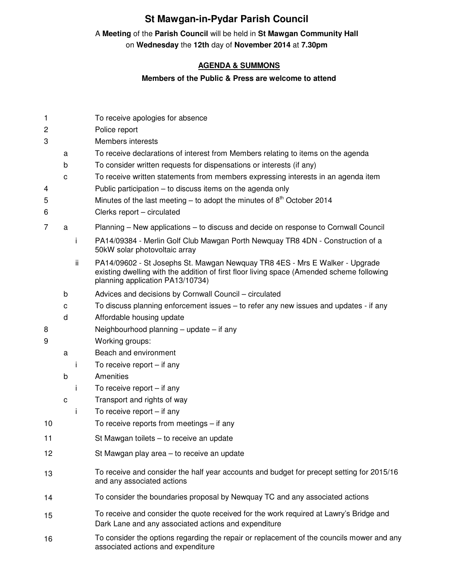## **St Mawgan-in-Pydar Parish Council**

## A **Meeting** of the **Parish Council** will be held in **St Mawgan Community Hall** on **Wednesday** the **12th** day of **November 2014** at **7.30pm**

## **AGENDA & SUMMONS**

## **Members of the Public & Press are welcome to attend**

| 1      |   |     | To receive apologies for absence                                                                                                                                                                             |
|--------|---|-----|--------------------------------------------------------------------------------------------------------------------------------------------------------------------------------------------------------------|
| 2      |   |     | Police report                                                                                                                                                                                                |
| 3      |   |     | Members interests                                                                                                                                                                                            |
|        | a |     | To receive declarations of interest from Members relating to items on the agenda                                                                                                                             |
|        | b |     | To consider written requests for dispensations or interests (if any)                                                                                                                                         |
|        | C |     | To receive written statements from members expressing interests in an agenda item                                                                                                                            |
| 4      |   |     | Public participation – to discuss items on the agenda only                                                                                                                                                   |
| 5      |   |     | Minutes of the last meeting – to adopt the minutes of $8th$ October 2014                                                                                                                                     |
| 6      |   |     | Clerks report - circulated                                                                                                                                                                                   |
| 7      | a |     | Planning - New applications - to discuss and decide on response to Cornwall Council                                                                                                                          |
|        |   | j.  | PA14/09384 - Merlin Golf Club Mawgan Porth Newquay TR8 4DN - Construction of a<br>50kW solar photovoltaic array                                                                                              |
|        |   | ii. | PA14/09602 - St Josephs St. Mawgan Newguay TR8 4ES - Mrs E Walker - Upgrade<br>existing dwelling with the addition of first floor living space (Amended scheme following<br>planning application PA13/10734) |
|        | b |     | Advices and decisions by Cornwall Council - circulated                                                                                                                                                       |
|        | с |     | To discuss planning enforcement issues – to refer any new issues and updates - if any                                                                                                                        |
|        | d |     | Affordable housing update                                                                                                                                                                                    |
| 8<br>9 |   |     | Neighbourhood planning $-$ update $-$ if any                                                                                                                                                                 |
|        |   |     | Working groups:                                                                                                                                                                                              |
|        | a |     | Beach and environment                                                                                                                                                                                        |
|        |   | Ť   | To receive report $-$ if any                                                                                                                                                                                 |
|        | b |     | Amenities                                                                                                                                                                                                    |
|        |   | j.  | To receive report $-$ if any                                                                                                                                                                                 |
|        | C |     | Transport and rights of way                                                                                                                                                                                  |
|        |   | Ť   | To receive report $-$ if any                                                                                                                                                                                 |
| 10     |   |     | To receive reports from meetings $-$ if any                                                                                                                                                                  |
| 11     |   |     | St Mawgan toilets - to receive an update                                                                                                                                                                     |
| 12     |   |     | St Mawgan play area – to receive an update                                                                                                                                                                   |
| 13     |   |     | To receive and consider the half year accounts and budget for precept setting for 2015/16<br>and any associated actions                                                                                      |
| 14     |   |     | To consider the boundaries proposal by Newquay TC and any associated actions                                                                                                                                 |
| 15     |   |     | To receive and consider the quote received for the work required at Lawry's Bridge and<br>Dark Lane and any associated actions and expenditure                                                               |
| 16     |   |     | To consider the options regarding the repair or replacement of the councils mower and any<br>associated actions and expenditure                                                                              |